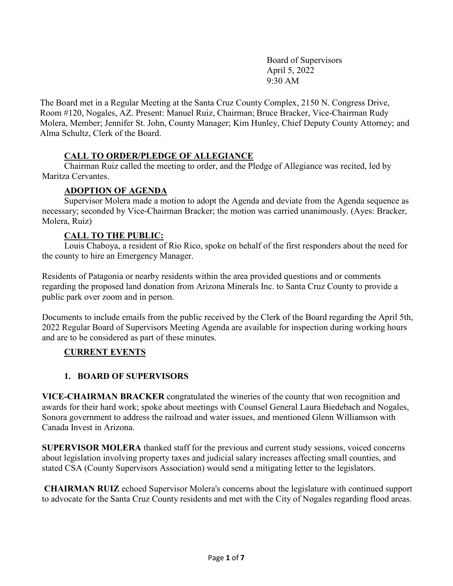Board of Supervisors April 5, 2022 9:30 AM

The Board met in a Regular Meeting at the Santa Cruz County Complex, 2150 N. Congress Drive, Room #120, Nogales, AZ. Present: Manuel Ruiz, Chairman; Bruce Bracker, Vice-Chairman Rudy Molera, Member; Jennifer St. John, County Manager; Kim Hunley, Chief Deputy County Attorney; and Alma Schultz, Clerk of the Board.

## **CALL TO ORDER/PLEDGE OF ALLEGIANCE**

Chairman Ruiz called the meeting to order, and the Pledge of Allegiance was recited, led by Maritza Cervantes.

#### **ADOPTION OF AGENDA**

Supervisor Molera made a motion to adopt the Agenda and deviate from the Agenda sequence as necessary; seconded by Vice-Chairman Bracker; the motion was carried unanimously. (Ayes: Bracker, Molera, Ruiz)

### **CALL TO THE PUBLIC:**

Louis Chaboya, a resident of Rio Rico, spoke on behalf of the first responders about the need for the county to hire an Emergency Manager.

Residents of Patagonia or nearby residents within the area provided questions and or comments regarding the proposed land donation from Arizona Minerals Inc. to Santa Cruz County to provide a public park over zoom and in person.

Documents to include emails from the public received by the Clerk of the Board regarding the April 5th, 2022 Regular Board of Supervisors Meeting Agenda are available for inspection during working hours and are to be considered as part of these minutes.

#### **CURRENT EVENTS**

## **1. BOARD OF SUPERVISORS**

**VICE-CHAIRMAN BRACKER** congratulated the wineries of the county that won recognition and awards for their hard work; spoke about meetings with Counsel General Laura Biedebach and Nogales, Sonora government to address the railroad and water issues, and mentioned Glenn Williamson with Canada Invest in Arizona.

**SUPERVISOR MOLERA** thanked staff for the previous and current study sessions, voiced concerns about legislation involving property taxes and judicial salary increases affecting small counties, and stated CSA (County Supervisors Association) would send a mitigating letter to the legislators.

**CHAIRMAN RUIZ** echoed Supervisor Molera's concerns about the legislature with continued support to advocate for the Santa Cruz County residents and met with the City of Nogales regarding flood areas.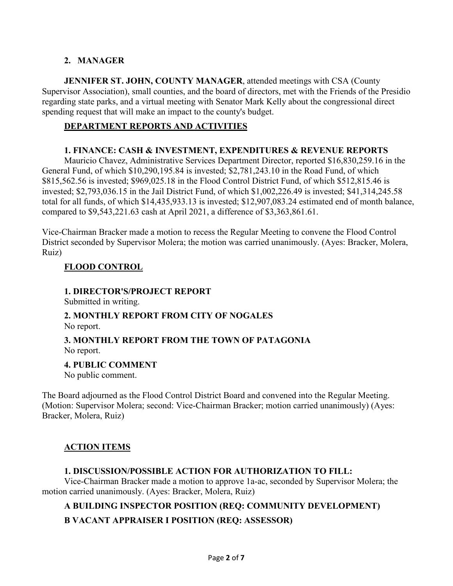# **2. MANAGER**

**JENNIFER ST. JOHN, COUNTY MANAGER**, attended meetings with CSA (County Supervisor Association), small counties, and the board of directors, met with the Friends of the Presidio regarding state parks, and a virtual meeting with Senator Mark Kelly about the congressional direct spending request that will make an impact to the county's budget.

### **DEPARTMENT REPORTS AND ACTIVITIES**

#### **1. FINANCE: CASH & INVESTMENT, EXPENDITURES & REVENUE REPORTS**

Mauricio Chavez, Administrative Services Department Director, reported \$16,830,259.16 in the General Fund, of which \$10,290,195.84 is invested; \$2,781,243.10 in the Road Fund, of which \$815,562.56 is invested; \$969,025.18 in the Flood Control District Fund, of which \$512,815.46 is invested; \$2,793,036.15 in the Jail District Fund, of which \$1,002,226.49 is invested; \$41,314,245.58 total for all funds, of which \$14,435,933.13 is invested; \$12,907,083.24 estimated end of month balance, compared to \$9,543,221.63 cash at April 2021, a difference of \$3,363,861.61.

Vice-Chairman Bracker made a motion to recess the Regular Meeting to convene the Flood Control District seconded by Supervisor Molera; the motion was carried unanimously. (Ayes: Bracker, Molera, Ruiz)

## **FLOOD CONTROL**

### **1. DIRECTOR'S/PROJECT REPORT**

Submitted in writing.

# **2. MONTHLY REPORT FROM CITY OF NOGALES**

No report.

## **3. MONTHLY REPORT FROM THE TOWN OF PATAGONIA** No report.

## **4. PUBLIC COMMENT**

No public comment.

The Board adjourned as the Flood Control District Board and convened into the Regular Meeting. (Motion: Supervisor Molera; second: Vice-Chairman Bracker; motion carried unanimously) (Ayes: Bracker, Molera, Ruiz)

## **ACTION ITEMS**

#### **1. DISCUSSION/POSSIBLE ACTION FOR AUTHORIZATION TO FILL:**

Vice-Chairman Bracker made a motion to approve 1a-ac, seconded by Supervisor Molera; the motion carried unanimously. (Ayes: Bracker, Molera, Ruiz)

## **A BUILDING INSPECTOR POSITION (REQ: COMMUNITY DEVELOPMENT)**

## **B VACANT APPRAISER I POSITION (REQ: ASSESSOR)**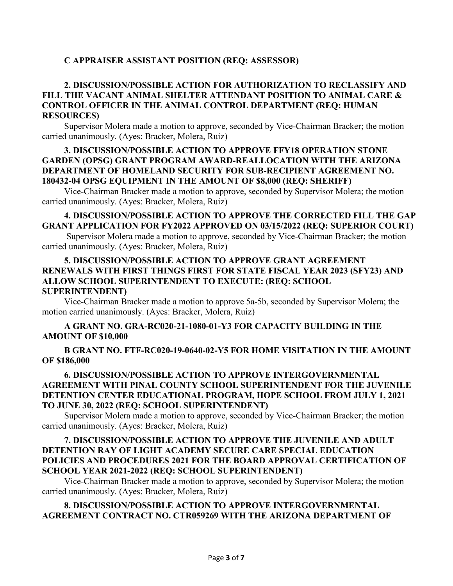## **C APPRAISER ASSISTANT POSITION (REQ: ASSESSOR)**

### **2. DISCUSSION/POSSIBLE ACTION FOR AUTHORIZATION TO RECLASSIFY AND FILL THE VACANT ANIMAL SHELTER ATTENDANT POSITION TO ANIMAL CARE & CONTROL OFFICER IN THE ANIMAL CONTROL DEPARTMENT (REQ: HUMAN RESOURCES)**

Supervisor Molera made a motion to approve, seconded by Vice-Chairman Bracker; the motion carried unanimously. (Ayes: Bracker, Molera, Ruiz)

#### **3. DISCUSSION/POSSIBLE ACTION TO APPROVE FFY18 OPERATION STONE GARDEN (OPSG) GRANT PROGRAM AWARD-REALLOCATION WITH THE ARIZONA DEPARTMENT OF HOMELAND SECURITY FOR SUB-RECIPIENT AGREEMENT NO. 180432-04 OPSG EQUIPMENT IN THE AMOUNT OF \$8,000 (REQ: SHERIFF)**

Vice-Chairman Bracker made a motion to approve, seconded by Supervisor Molera; the motion carried unanimously. (Ayes: Bracker, Molera, Ruiz)

#### **4. DISCUSSION/POSSIBLE ACTION TO APPROVE THE CORRECTED FILL THE GAP GRANT APPLICATION FOR FY2022 APPROVED ON 03/15/2022 (REQ: SUPERIOR COURT)**

Supervisor Molera made a motion to approve, seconded by Vice-Chairman Bracker; the motion carried unanimously. (Ayes: Bracker, Molera, Ruiz)

#### **5. DISCUSSION/POSSIBLE ACTION TO APPROVE GRANT AGREEMENT RENEWALS WITH FIRST THINGS FIRST FOR STATE FISCAL YEAR 2023 (SFY23) AND ALLOW SCHOOL SUPERINTENDENT TO EXECUTE: (REQ: SCHOOL SUPERINTENDENT)**

Vice-Chairman Bracker made a motion to approve 5a-5b, seconded by Supervisor Molera; the motion carried unanimously. (Ayes: Bracker, Molera, Ruiz)

#### **A GRANT NO. GRA-RC020-21-1080-01-Y3 FOR CAPACITY BUILDING IN THE AMOUNT OF \$10,000**

**B GRANT NO. FTF-RC020-19-0640-02-Y5 FOR HOME VISITATION IN THE AMOUNT OF \$186,000**

### **6. DISCUSSION/POSSIBLE ACTION TO APPROVE INTERGOVERNMENTAL AGREEMENT WITH PINAL COUNTY SCHOOL SUPERINTENDENT FOR THE JUVENILE DETENTION CENTER EDUCATIONAL PROGRAM, HOPE SCHOOL FROM JULY 1, 2021 TO JUNE 30, 2022 (REQ: SCHOOL SUPERINTENDENT)**

Supervisor Molera made a motion to approve, seconded by Vice-Chairman Bracker; the motion carried unanimously. (Ayes: Bracker, Molera, Ruiz)

### **7. DISCUSSION/POSSIBLE ACTION TO APPROVE THE JUVENILE AND ADULT DETENTION RAY OF LIGHT ACADEMY SECURE CARE SPECIAL EDUCATION POLICIES AND PROCEDURES 2021 FOR THE BOARD APPROVAL CERTIFICATION OF SCHOOL YEAR 2021-2022 (REQ: SCHOOL SUPERINTENDENT)**

Vice-Chairman Bracker made a motion to approve, seconded by Supervisor Molera; the motion carried unanimously. (Ayes: Bracker, Molera, Ruiz)

## **8. DISCUSSION/POSSIBLE ACTION TO APPROVE INTERGOVERNMENTAL AGREEMENT CONTRACT NO. CTR059269 WITH THE ARIZONA DEPARTMENT OF**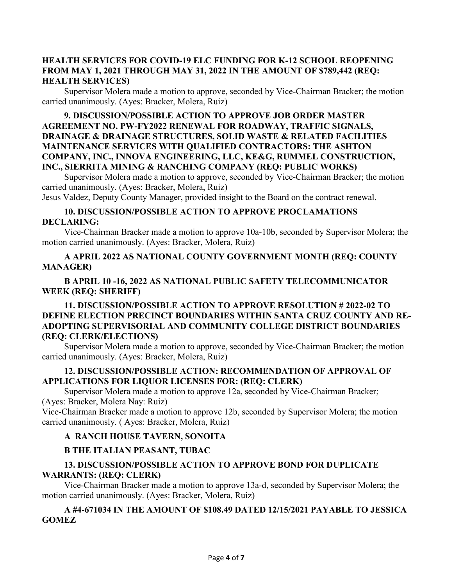#### **HEALTH SERVICES FOR COVID-19 ELC FUNDING FOR K-12 SCHOOL REOPENING FROM MAY 1, 2021 THROUGH MAY 31, 2022 IN THE AMOUNT OF \$789,442 (REQ: HEALTH SERVICES)**

Supervisor Molera made a motion to approve, seconded by Vice-Chairman Bracker; the motion carried unanimously. (Ayes: Bracker, Molera, Ruiz)

## **9. DISCUSSION/POSSIBLE ACTION TO APPROVE JOB ORDER MASTER AGREEMENT NO. PW-FY2022 RENEWAL FOR ROADWAY, TRAFFIC SIGNALS, DRAINAGE & DRAINAGE STRUCTURES, SOLID WASTE & RELATED FACILITIES MAINTENANCE SERVICES WITH QUALIFIED CONTRACTORS: THE ASHTON COMPANY, INC., INNOVA ENGINEERING, LLC, KE&G, RUMMEL CONSTRUCTION, INC., SIERRITA MINING & RANCHING COMPANY (REQ: PUBLIC WORKS)**

Supervisor Molera made a motion to approve, seconded by Vice-Chairman Bracker; the motion carried unanimously. (Ayes: Bracker, Molera, Ruiz)

Jesus Valdez, Deputy County Manager, provided insight to the Board on the contract renewal.

### **10. DISCUSSION/POSSIBLE ACTION TO APPROVE PROCLAMATIONS DECLARING:**

Vice-Chairman Bracker made a motion to approve 10a-10b, seconded by Supervisor Molera; the motion carried unanimously. (Ayes: Bracker, Molera, Ruiz)

## **A APRIL 2022 AS NATIONAL COUNTY GOVERNMENT MONTH (REQ: COUNTY MANAGER)**

## **B APRIL 10 -16, 2022 AS NATIONAL PUBLIC SAFETY TELECOMMUNICATOR WEEK (REQ: SHERIFF)**

## **11. DISCUSSION/POSSIBLE ACTION TO APPROVE RESOLUTION # 2022-02 TO DEFINE ELECTION PRECINCT BOUNDARIES WITHIN SANTA CRUZ COUNTY AND RE-ADOPTING SUPERVISORIAL AND COMMUNITY COLLEGE DISTRICT BOUNDARIES (REQ: CLERK/ELECTIONS)**

Supervisor Molera made a motion to approve, seconded by Vice-Chairman Bracker; the motion carried unanimously. (Ayes: Bracker, Molera, Ruiz)

### **12. DISCUSSION/POSSIBLE ACTION: RECOMMENDATION OF APPROVAL OF APPLICATIONS FOR LIQUOR LICENSES FOR: (REQ: CLERK)**

Supervisor Molera made a motion to approve 12a, seconded by Vice-Chairman Bracker; (Ayes: Bracker, Molera Nay: Ruiz)

Vice-Chairman Bracker made a motion to approve 12b, seconded by Supervisor Molera; the motion carried unanimously. ( Ayes: Bracker, Molera, Ruiz)

## **A RANCH HOUSE TAVERN, SONOITA**

## **B THE ITALIAN PEASANT, TUBAC**

### **13. DISCUSSION/POSSIBLE ACTION TO APPROVE BOND FOR DUPLICATE WARRANTS: (REQ: CLERK)**

Vice-Chairman Bracker made a motion to approve 13a-d, seconded by Supervisor Molera; the motion carried unanimously. (Ayes: Bracker, Molera, Ruiz)

## **A #4-671034 IN THE AMOUNT OF \$108.49 DATED 12/15/2021 PAYABLE TO JESSICA GOMEZ**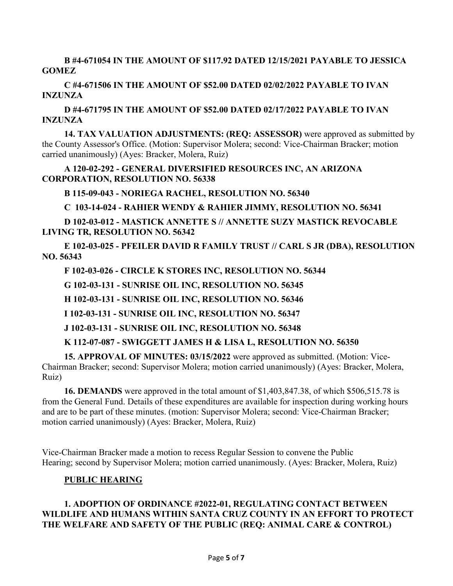**B #4-671054 IN THE AMOUNT OF \$117.92 DATED 12/15/2021 PAYABLE TO JESSICA GOMEZ**

**C #4-671506 IN THE AMOUNT OF \$52.00 DATED 02/02/2022 PAYABLE TO IVAN INZUNZA**

**D #4-671795 IN THE AMOUNT OF \$52.00 DATED 02/17/2022 PAYABLE TO IVAN INZUNZA**

**14. TAX VALUATION ADJUSTMENTS: (REQ: ASSESSOR)** were approved as submitted by the County Assessor's Office. (Motion: Supervisor Molera; second: Vice-Chairman Bracker; motion carried unanimously) (Ayes: Bracker, Molera, Ruiz)

**A 120-02-292 - GENERAL DIVERSIFIED RESOURCES INC, AN ARIZONA CORPORATION, RESOLUTION NO. 56338**

**B 115-09-043 - NORIEGA RACHEL, RESOLUTION NO. 56340**

**C 103-14-024 - RAHIER WENDY & RAHIER JIMMY, RESOLUTION NO. 56341**

**D 102-03-012 - MASTICK ANNETTE S // ANNETTE SUZY MASTICK REVOCABLE LIVING TR, RESOLUTION NO. 56342**

**E 102-03-025 - PFEILER DAVID R FAMILY TRUST // CARL S JR (DBA), RESOLUTION NO. 56343**

**F 102-03-026 - CIRCLE K STORES INC, RESOLUTION NO. 56344**

**G 102-03-131 - SUNRISE OIL INC, RESOLUTION NO. 56345**

**H 102-03-131 - SUNRISE OIL INC, RESOLUTION NO. 56346**

**I 102-03-131 - SUNRISE OIL INC, RESOLUTION NO. 56347**

**J 102-03-131 - SUNRISE OIL INC, RESOLUTION NO. 56348**

**K 112-07-087 - SWIGGETT JAMES H & LISA L, RESOLUTION NO. 56350**

**15. APPROVAL OF MINUTES: 03/15/2022** were approved as submitted. (Motion: Vice-Chairman Bracker; second: Supervisor Molera; motion carried unanimously) (Ayes: Bracker, Molera, Ruiz)

**16. DEMANDS** were approved in the total amount of \$1,403,847.38, of which \$506,515.78 is from the General Fund. Details of these expenditures are available for inspection during working hours and are to be part of these minutes. (motion: Supervisor Molera; second: Vice-Chairman Bracker; motion carried unanimously) (Ayes: Bracker, Molera, Ruiz)

Vice-Chairman Bracker made a motion to recess Regular Session to convene the Public Hearing; second by Supervisor Molera; motion carried unanimously. (Ayes: Bracker, Molera, Ruiz)

#### **PUBLIC HEARING**

### **1. ADOPTION OF ORDINANCE #2022-01, REGULATING CONTACT BETWEEN WILDLIFE AND HUMANS WITHIN SANTA CRUZ COUNTY IN AN EFFORT TO PROTECT THE WELFARE AND SAFETY OF THE PUBLIC (REQ: ANIMAL CARE & CONTROL)**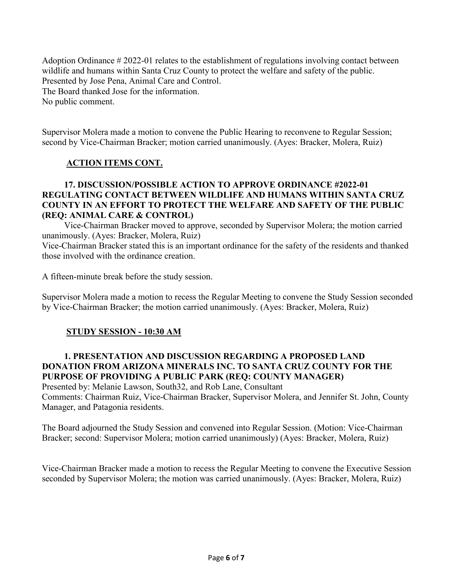Adoption Ordinance # 2022-01 relates to the establishment of regulations involving contact between wildlife and humans within Santa Cruz County to protect the welfare and safety of the public. Presented by Jose Pena, Animal Care and Control. The Board thanked Jose for the information. No public comment.

Supervisor Molera made a motion to convene the Public Hearing to reconvene to Regular Session; second by Vice-Chairman Bracker; motion carried unanimously. (Ayes: Bracker, Molera, Ruiz)

### **ACTION ITEMS CONT.**

#### **17. DISCUSSION/POSSIBLE ACTION TO APPROVE ORDINANCE #2022-01 REGULATING CONTACT BETWEEN WILDLIFE AND HUMANS WITHIN SANTA CRUZ COUNTY IN AN EFFORT TO PROTECT THE WELFARE AND SAFETY OF THE PUBLIC (REQ: ANIMAL CARE & CONTROL)**

Vice-Chairman Bracker moved to approve, seconded by Supervisor Molera; the motion carried unanimously. (Ayes: Bracker, Molera, Ruiz)

Vice-Chairman Bracker stated this is an important ordinance for the safety of the residents and thanked those involved with the ordinance creation.

A fifteen-minute break before the study session.

Supervisor Molera made a motion to recess the Regular Meeting to convene the Study Session seconded by Vice-Chairman Bracker; the motion carried unanimously. (Ayes: Bracker, Molera, Ruiz)

## **STUDY SESSION - 10:30 AM**

### **1. PRESENTATION AND DISCUSSION REGARDING A PROPOSED LAND DONATION FROM ARIZONA MINERALS INC. TO SANTA CRUZ COUNTY FOR THE PURPOSE OF PROVIDING A PUBLIC PARK (REQ: COUNTY MANAGER)** Presented by: Melanie Lawson, South32, and Rob Lane, Consultant

Comments: Chairman Ruiz, Vice-Chairman Bracker, Supervisor Molera, and Jennifer St. John, County Manager, and Patagonia residents.

The Board adjourned the Study Session and convened into Regular Session. (Motion: Vice-Chairman Bracker; second: Supervisor Molera; motion carried unanimously) (Ayes: Bracker, Molera, Ruiz)

Vice-Chairman Bracker made a motion to recess the Regular Meeting to convene the Executive Session seconded by Supervisor Molera; the motion was carried unanimously. (Ayes: Bracker, Molera, Ruiz)